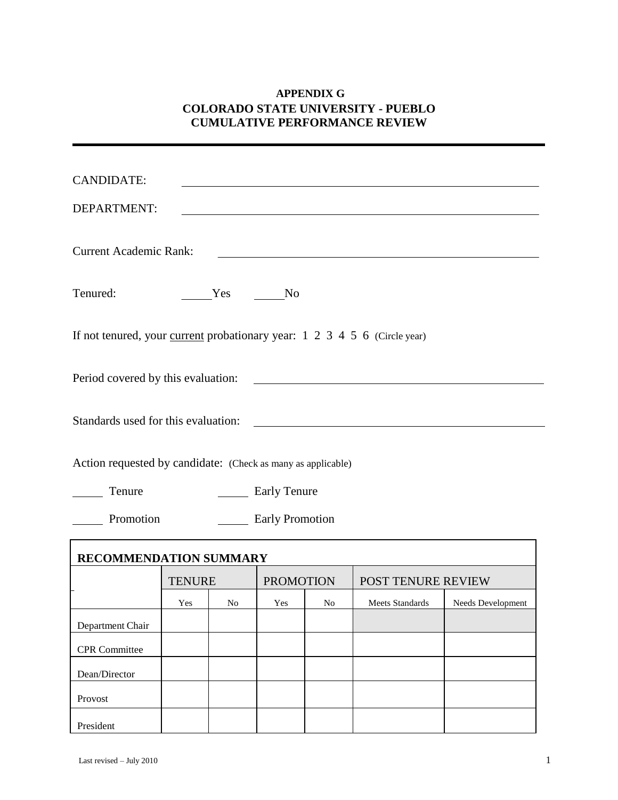# **APPENDIX G COLORADO STATE UNIVERSITY - PUEBLO CUMULATIVE PERFORMANCE REVIEW**

| <b>CANDIDATE:</b><br>DEPARTMENT:                                                        |               |        |                     |    |                           |                   |  |
|-----------------------------------------------------------------------------------------|---------------|--------|---------------------|----|---------------------------|-------------------|--|
| <b>Current Academic Rank:</b>                                                           |               |        |                     |    |                           |                   |  |
| Tenured:                                                                                |               | Yes No |                     |    |                           |                   |  |
| If not tenured, your <u>current</u> probationary year: $1\ 2\ 3\ 4\ 5\ 6$ (Circle year) |               |        |                     |    |                           |                   |  |
| Period covered by this evaluation:                                                      |               |        |                     |    |                           |                   |  |
| Standards used for this evaluation:                                                     |               |        |                     |    |                           |                   |  |
| Action requested by candidate: (Check as many as applicable)                            |               |        |                     |    |                           |                   |  |
| Tenure                                                                                  |               |        | <b>Early Tenure</b> |    |                           |                   |  |
| Promotion<br><b>Early Promotion</b>                                                     |               |        |                     |    |                           |                   |  |
| RECOMMENDATION SUMMARY                                                                  |               |        |                     |    |                           |                   |  |
|                                                                                         | <b>TENURE</b> |        | <b>PROMOTION</b>    |    | <b>POST TENURE REVIEW</b> |                   |  |
|                                                                                         | Yes           | No     | Yes                 | No | Meets Standards           | Needs Development |  |
| Department Chair                                                                        |               |        |                     |    |                           |                   |  |
| <b>CPR</b> Committee                                                                    |               |        |                     |    |                           |                   |  |
| Dean/Director                                                                           |               |        |                     |    |                           |                   |  |
| Provost                                                                                 |               |        |                     |    |                           |                   |  |
| President                                                                               |               |        |                     |    |                           |                   |  |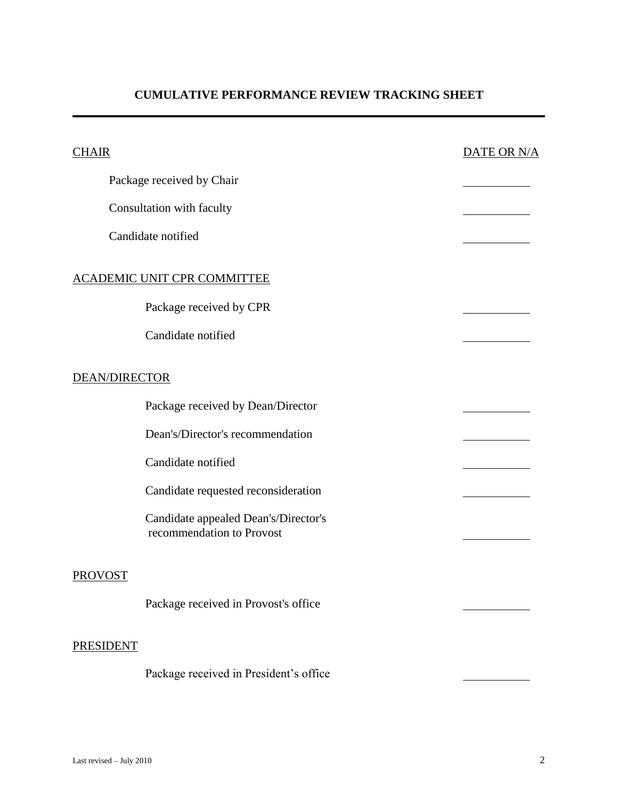# **CUMULATIVE PERFORMANCE REVIEW TRACKING SHEET**

| <b>CHAIR</b>         |                                                                   | DATE OR N/A |
|----------------------|-------------------------------------------------------------------|-------------|
|                      | Package received by Chair                                         |             |
|                      | Consultation with faculty                                         |             |
|                      | Candidate notified                                                |             |
|                      | <b>ACADEMIC UNIT CPR COMMITTEE</b>                                |             |
|                      | Package received by CPR                                           |             |
|                      | Candidate notified                                                |             |
| <b>DEAN/DIRECTOR</b> |                                                                   |             |
|                      | Package received by Dean/Director                                 |             |
|                      | Dean's/Director's recommendation                                  |             |
|                      | Candidate notified                                                |             |
|                      | Candidate requested reconsideration                               |             |
|                      | Candidate appealed Dean's/Director's<br>recommendation to Provost |             |
| <b>PROVOST</b>       |                                                                   |             |
|                      | Package received in Provost's office                              |             |
| <b>PRESIDENT</b>     |                                                                   |             |
|                      | Package received in President's office                            |             |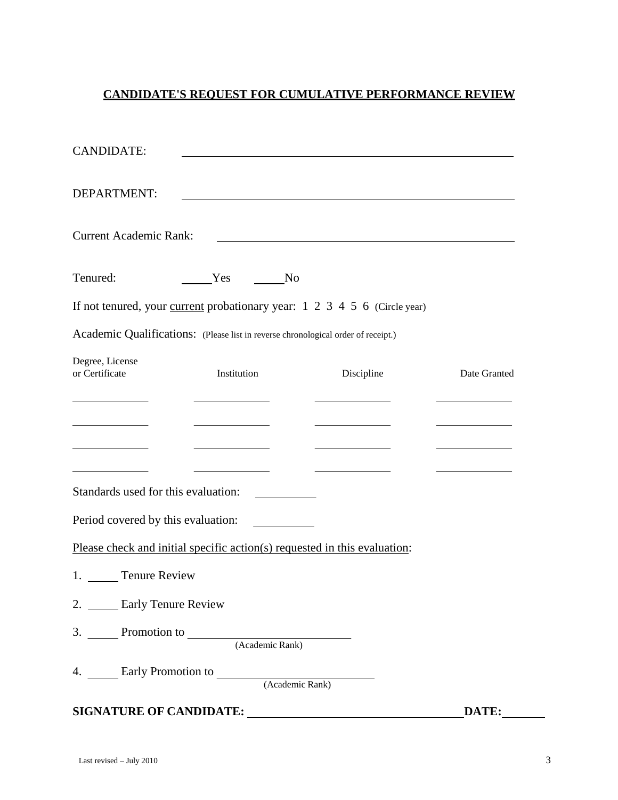# **CANDIDATE'S REQUEST FOR CUMULATIVE PERFORMANCE REVIEW**

| <b>CANDIDATE:</b>                   |                                                                                         |                                                                                                                       |              |
|-------------------------------------|-----------------------------------------------------------------------------------------|-----------------------------------------------------------------------------------------------------------------------|--------------|
| DEPARTMENT:                         |                                                                                         |                                                                                                                       |              |
| <b>Current Academic Rank:</b>       |                                                                                         | <u> 1989 - Johann Stoff, deutscher Stoffen und der Stoffen und der Stoffen und der Stoffen und der Stoffen und de</u> |              |
| Tenured:                            | Yes No                                                                                  |                                                                                                                       |              |
|                                     | If not tenured, your <u>current</u> probationary year: $1\ 2\ 3\ 4\ 5\ 6$ (Circle year) |                                                                                                                       |              |
|                                     | Academic Qualifications: (Please list in reverse chronological order of receipt.)       |                                                                                                                       |              |
| Degree, License<br>or Certificate   | Institution                                                                             | Discipline                                                                                                            | Date Granted |
|                                     |                                                                                         |                                                                                                                       |              |
|                                     |                                                                                         |                                                                                                                       |              |
|                                     |                                                                                         |                                                                                                                       |              |
| Standards used for this evaluation: |                                                                                         |                                                                                                                       |              |
| Period covered by this evaluation:  |                                                                                         |                                                                                                                       |              |
|                                     | Please check and initial specific action(s) requested in this evaluation:               |                                                                                                                       |              |
| 1. Tenure Review                    |                                                                                         |                                                                                                                       |              |
| 2. ______ Early Tenure Review       |                                                                                         |                                                                                                                       |              |
|                                     | 3. Promotion to (Academic Rank)                                                         |                                                                                                                       |              |
|                                     | 4. Early Promotion to <b>Example 2018</b>                                               |                                                                                                                       |              |
|                                     |                                                                                         | (Academic Rank)                                                                                                       |              |
|                                     | SIGNATURE OF CANDIDATE:                                                                 |                                                                                                                       | DATE:        |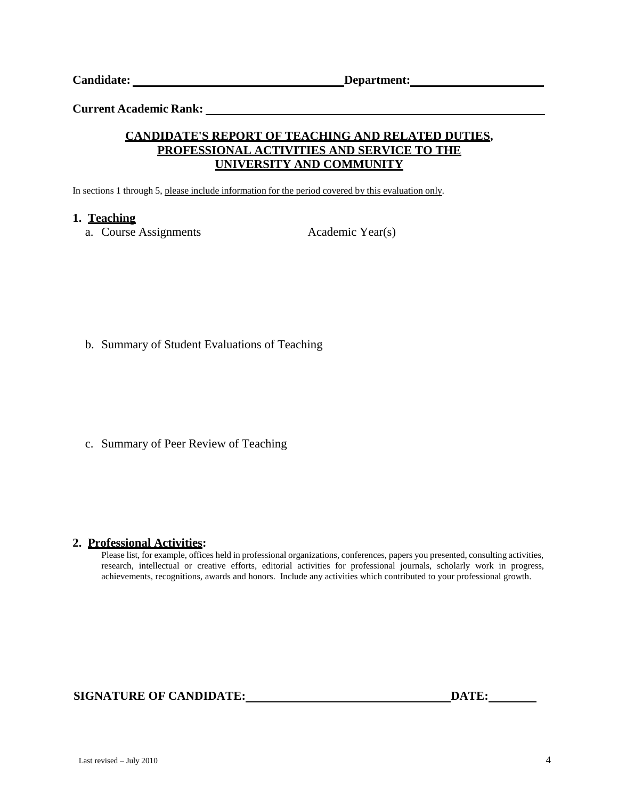**Current Academic Rank:**

### **CANDIDATE'S REPORT OF TEACHING AND RELATED DUTIES, PROFESSIONAL ACTIVITIES AND SERVICE TO THE UNIVERSITY AND COMMUNITY**

In sections 1 through 5, please include information for the period covered by this evaluation only.

#### **1. Teaching**

a. Course Assignments Academic Year(s)

b. Summary of Student Evaluations of Teaching

c. Summary of Peer Review of Teaching

#### **2. Professional Activities:**

Please list, for example, offices held in professional organizations, conferences, papers you presented, consulting activities, research, intellectual or creative efforts, editorial activities for professional journals, scholarly work in progress, achievements, recognitions, awards and honors. Include any activities which contributed to your professional growth.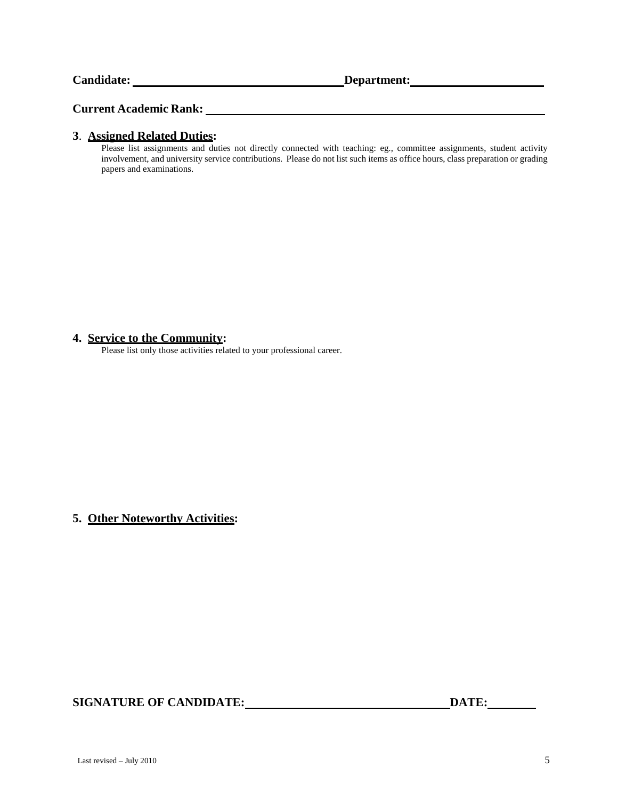#### **Current Academic Rank:**

#### **3**. **Assigned Related Duties:**

Please list assignments and duties not directly connected with teaching: eg., committee assignments, student activity involvement, and university service contributions. Please do not list such items as office hours, class preparation or grading papers and examinations.

#### **4. Service to the Community:**

Please list only those activities related to your professional career.

**5. Other Noteworthy Activities:**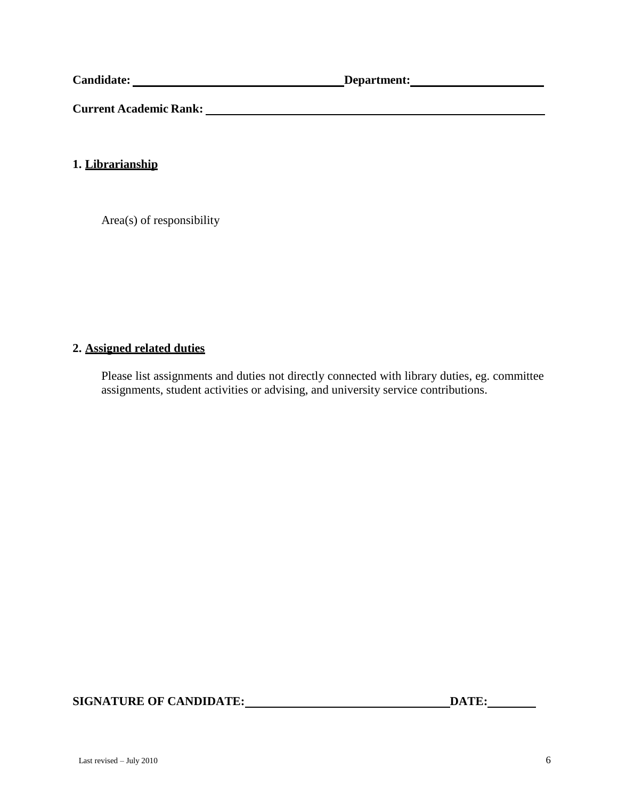**Current Academic Rank:**

**1. Librarianship**

Area(s) of responsibility

#### **2. Assigned related duties**

Please list assignments and duties not directly connected with library duties, eg. committee assignments, student activities or advising, and university service contributions.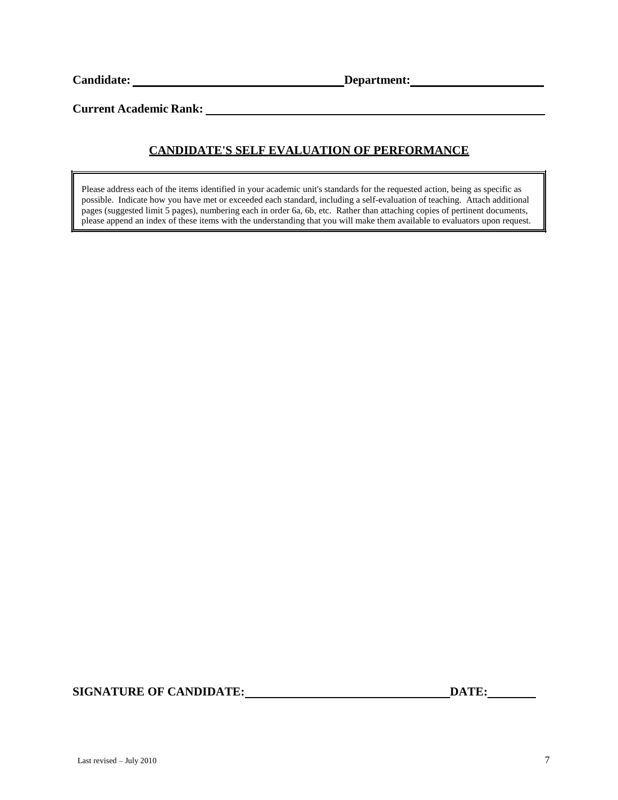**Current Academic Rank:**

# **CANDIDATE'S SELF EVALUATION OF PERFORMANCE**

Please address each of the items identified in your academic unit's standards for the requested action, being as specific as possible. Indicate how you have met or exceeded each standard, including a self-evaluation of teaching. Attach additional pages (suggested limit 5 pages), numbering each in order 6a, 6b, etc. Rather than attaching copies of pertinent documents, please append an index of these items with the understanding that you will make them available to evaluators upon request.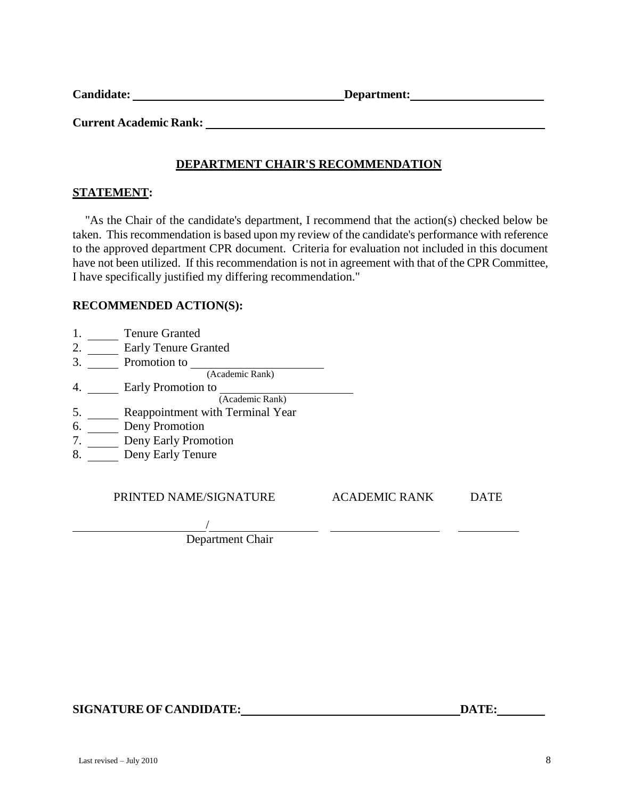**Current Academic Rank:**

# **DEPARTMENT CHAIR'S RECOMMENDATION**

#### **STATEMENT:**

"As the Chair of the candidate's department, I recommend that the action(s) checked below be taken. This recommendation is based upon my review of the candidate's performance with reference to the approved department CPR document. Criteria for evaluation not included in this document have not been utilized. If this recommendation is not in agreement with that of the CPR Committee, I have specifically justified my differing recommendation."

#### **RECOMMENDED ACTION(S):**

- 1. Tenure Granted
- 2. Early Tenure Granted
- 3. Promotion to
- 
- 4. Early Promotion to
- (Academic Rank)
- 5. Reappointment with Terminal Year
- 6. Deny Promotion
- 7. Deny Early Promotion
- 8. Deny Early Tenure

PRINTED NAME/SIGNATURE ACADEMIC RANK DATE

/ Department Chair

(Academic Rank)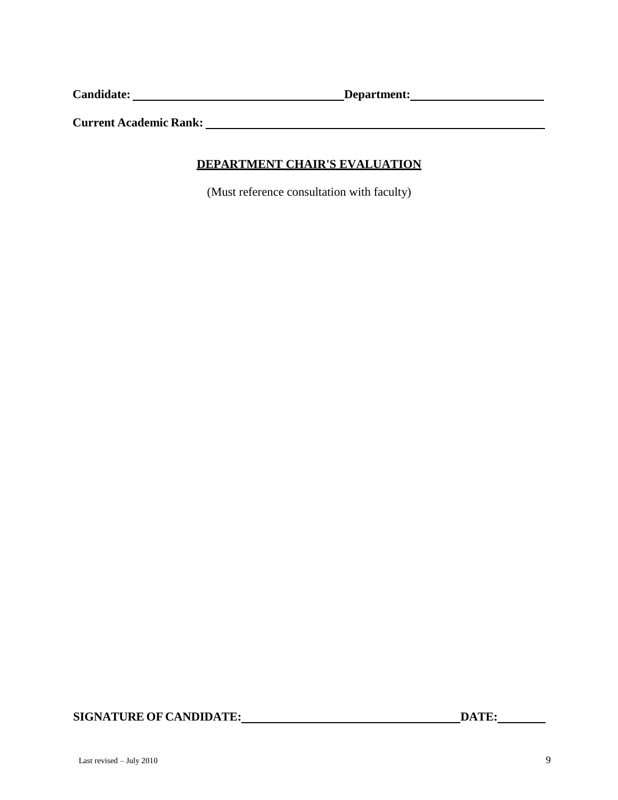**Current Academic Rank:**

## **DEPARTMENT CHAIR'S EVALUATION**

(Must reference consultation with faculty)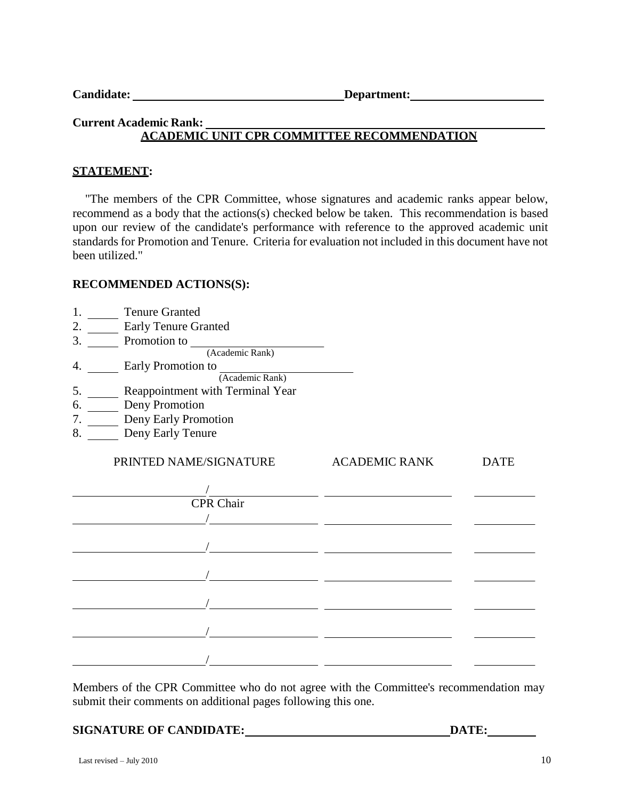| <b>Candidate:</b> |  |
|-------------------|--|
|-------------------|--|

**Candidate Condition Department: Candidate Condition Department:** 

# **Current Academic Rank: ACADEMIC UNIT CPR COMMITTEE RECOMMENDATION**

### **STATEMENT:**

"The members of the CPR Committee, whose signatures and academic ranks appear below, recommend as a body that the actions(s) checked below be taken. This recommendation is based upon our review of the candidate's performance with reference to the approved academic unit standards for Promotion and Tenure. Criteria for evaluation not included in this document have not been utilized."

### **RECOMMENDED ACTIONS(S):**

- 1. Tenure Granted
- 2. Early Tenure Granted
- 3. Promotion to

(Academic Rank)

- 4. Early Promotion to
	- (Academic Rank)
- 5. Reappointment with Terminal Year
- 6. Deny Promotion
- 7. Deny Early Promotion
- 8. Deny Early Tenure

# PRINTED NAME/SIGNATURE ACADEMIC RANK DATE / CPR Chair / / / / / /

Members of the CPR Committee who do not agree with the Committee's recommendation may submit their comments on additional pages following this one.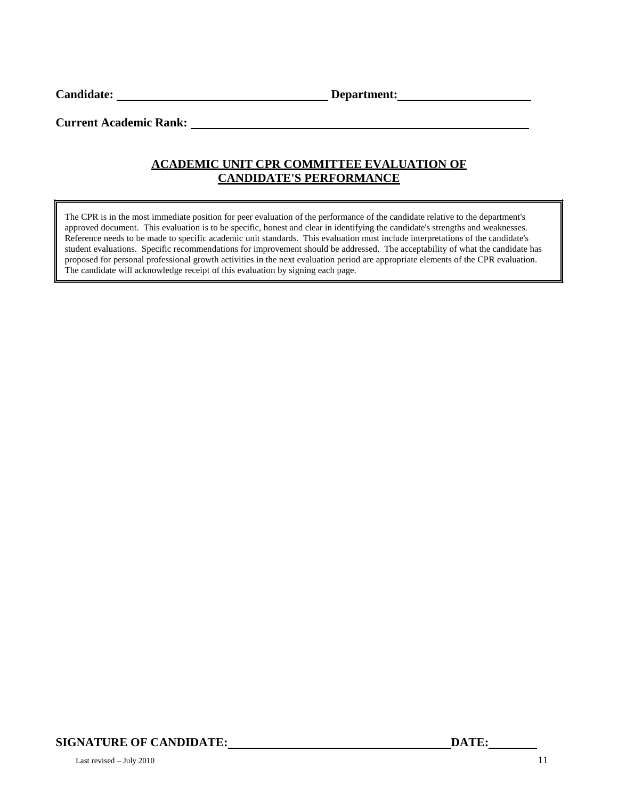Candidate: <u>Department:</u> Department:

**Current Academic Rank:** 

# **ACADEMIC UNIT CPR COMMITTEE EVALUATION OF CANDIDATE'S PERFORMANCE**

The CPR is in the most immediate position for peer evaluation of the performance of the candidate relative to the department's approved document. This evaluation is to be specific, honest and clear in identifying the candidate's strengths and weaknesses. Reference needs to be made to specific academic unit standards. This evaluation must include interpretations of the candidate's student evaluations. Specific recommendations for improvement should be addressed. The acceptability of what the candidate has proposed for personal professional growth activities in the next evaluation period are appropriate elements of the CPR evaluation. The candidate will acknowledge receipt of this evaluation by signing each page.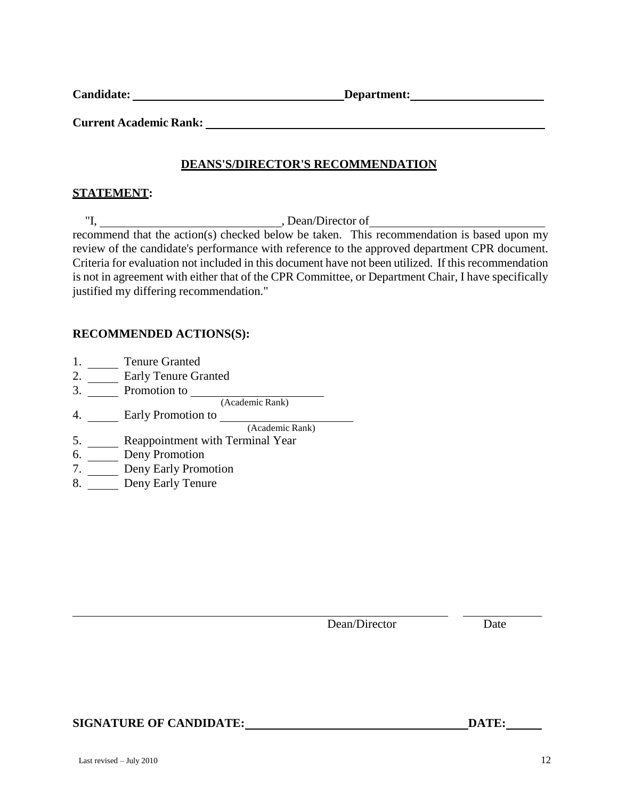**Current Academic Rank:**

### **DEANS'S/DIRECTOR'S RECOMMENDATION**

#### **STATEMENT:**

"I, Dean/Director of recommend that the action(s) checked below be taken. This recommendation is based upon my review of the candidate's performance with reference to the approved department CPR document. Criteria for evaluation not included in this document have not been utilized. If this recommendation is not in agreement with either that of the CPR Committee, or Department Chair, I have specifically justified my differing recommendation."

#### **RECOMMENDED ACTIONS(S):**

- 1. Tenure Granted
- 2. **Early Tenure Granted**
- 3. Promotion to
- 4. Early Promotion to (Academic Rank)
	- (Academic Rank)
- 5. Reappointment with Terminal Year
- 6. Deny Promotion
- 7. Deny Early Promotion
- 8. Deny Early Tenure

Dean/Director Date